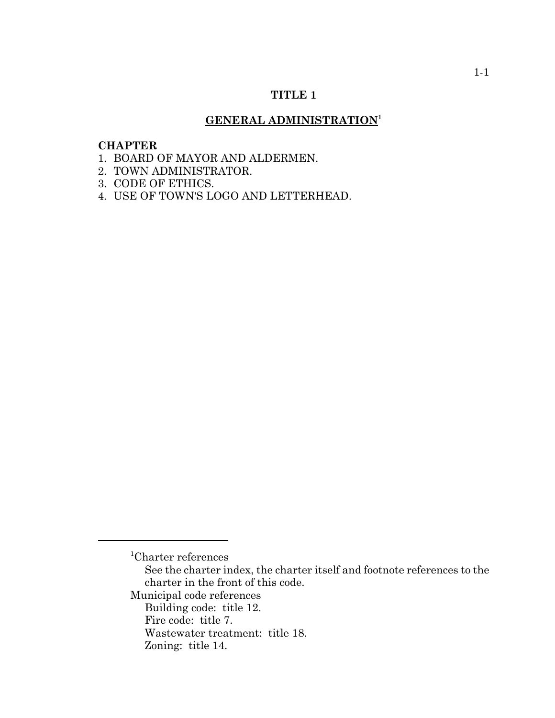# **TITLE 1**

# **GENERAL ADMINISTRATION<sup>1</sup>**

# **CHAPTER**

- 1. BOARD OF MAYOR AND ALDERMEN.
- 2. TOWN ADMINISTRATOR.
- 3. CODE OF ETHICS.
- 4. USE OF TOWN'S LOGO AND LETTERHEAD.

<sup>1</sup> Charter references

See the charter index, the charter itself and footnote references to the charter in the front of this code.

Municipal code references

Building code: title 12.

Fire code: title 7.

Wastewater treatment: title 18.

Zoning: title 14.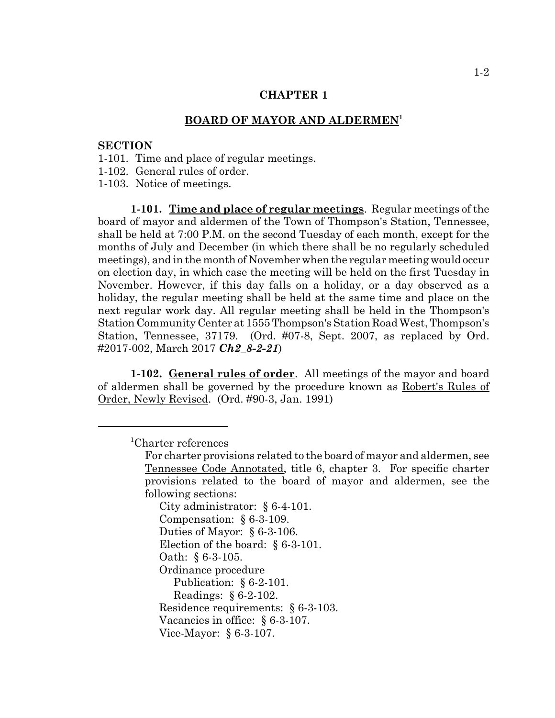# **BOARD OF MAYOR AND ALDERMEN<sup>1</sup>**

# **SECTION**

- 1-101. Time and place of regular meetings.
- 1-102. General rules of order.

1-103. Notice of meetings.

**1-101. Time and place of regular meetings**. Regular meetings of the board of mayor and aldermen of the Town of Thompson's Station, Tennessee, shall be held at 7:00 P.M. on the second Tuesday of each month, except for the months of July and December (in which there shall be no regularly scheduled meetings), and in the month of November when the regular meeting would occur on election day, in which case the meeting will be held on the first Tuesday in November. However, if this day falls on a holiday, or a day observed as a holiday, the regular meeting shall be held at the same time and place on the next regular work day. All regular meeting shall be held in the Thompson's Station Community Center at 1555 Thompson's Station Road West, Thompson's Station, Tennessee, 37179. (Ord. #07-8, Sept. 2007, as replaced by Ord. #2017-002, March 2017 *Ch2\_8-2-21*)

**1-102. General rules of order**. All meetings of the mayor and board of aldermen shall be governed by the procedure known as Robert's Rules of Order, Newly Revised. (Ord. #90-3, Jan. 1991)

1 Charter references

City administrator: § 6-4-101. Compensation: § 6-3-109. Duties of Mayor: § 6-3-106. Election of the board: § 6-3-101. Oath: § 6-3-105. Ordinance procedure Publication: § 6-2-101. Readings: § 6-2-102. Residence requirements: § 6-3-103. Vacancies in office: § 6-3-107. Vice-Mayor: § 6-3-107.

For charter provisions related to the board of mayor and aldermen, see Tennessee Code Annotated, title 6, chapter 3. For specific charter provisions related to the board of mayor and aldermen, see the following sections: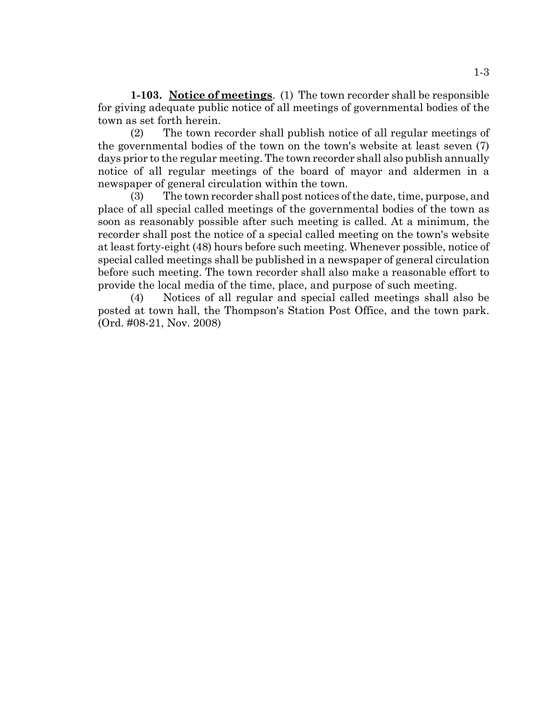**1-103. Notice of meetings**. (1) The town recorder shall be responsible for giving adequate public notice of all meetings of governmental bodies of the town as set forth herein.

(2) The town recorder shall publish notice of all regular meetings of the governmental bodies of the town on the town's website at least seven (7) days prior to the regular meeting. The town recorder shall also publish annually notice of all regular meetings of the board of mayor and aldermen in a newspaper of general circulation within the town.

(3) The town recorder shall post notices of the date, time, purpose, and place of all special called meetings of the governmental bodies of the town as soon as reasonably possible after such meeting is called. At a minimum, the recorder shall post the notice of a special called meeting on the town's website at least forty-eight (48) hours before such meeting. Whenever possible, notice of special called meetings shall be published in a newspaper of general circulation before such meeting. The town recorder shall also make a reasonable effort to provide the local media of the time, place, and purpose of such meeting.

(4) Notices of all regular and special called meetings shall also be posted at town hall, the Thompson's Station Post Office, and the town park. (Ord. #08-21, Nov. 2008)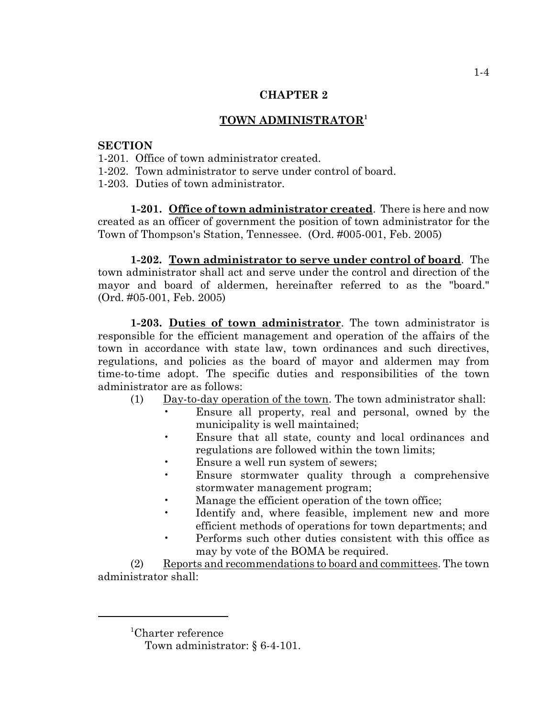# **TOWN ADMINISTRATOR<sup>1</sup>**

# **SECTION**

1-201. Office of town administrator created.

1-202. Town administrator to serve under control of board.

1-203. Duties of town administrator.

**1-201. Office of town administrator created**. There is here and now created as an officer of government the position of town administrator for the Town of Thompson's Station, Tennessee. (Ord. #005-001, Feb. 2005)

**1-202. Town administrator to serve under control of board**. The town administrator shall act and serve under the control and direction of the mayor and board of aldermen, hereinafter referred to as the "board." (Ord. #05-001, Feb. 2005)

**1-203. Duties of town administrator**. The town administrator is responsible for the efficient management and operation of the affairs of the town in accordance with state law, town ordinances and such directives, regulations, and policies as the board of mayor and aldermen may from time-to-time adopt. The specific duties and responsibilities of the town administrator are as follows:

- (1) Day-to-day operation of the town. The town administrator shall:
	- Ensure all property, real and personal, owned by the municipality is well maintained;
	- Ensure that all state, county and local ordinances and regulations are followed within the town limits;
	- Ensure a well run system of sewers;
	- Ensure stormwater quality through a comprehensive stormwater management program;
	- Manage the efficient operation of the town office;
	- Identify and, where feasible, implement new and more efficient methods of operations for town departments; and
	- Performs such other duties consistent with this office as may by vote of the BOMA be required.

(2) Reports and recommendations to board and committees. The town administrator shall:

<sup>1</sup> Charter reference

Town administrator: § 6-4-101.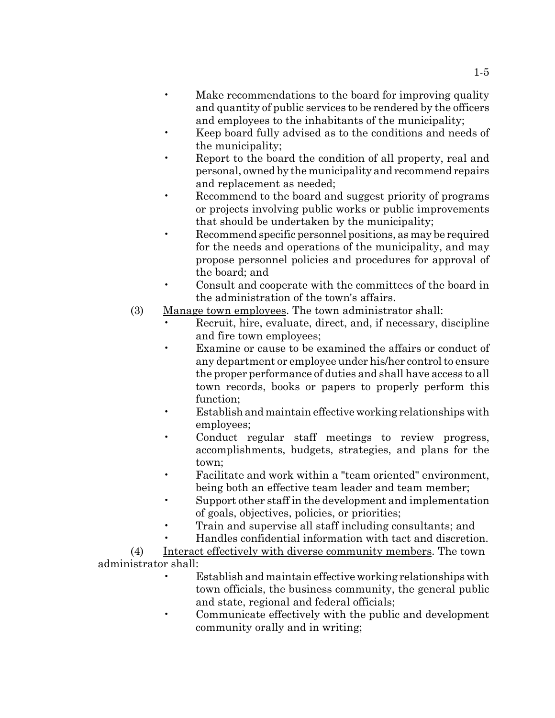- Make recommendations to the board for improving quality and quantity of public services to be rendered by the officers and employees to the inhabitants of the municipality;
- Keep board fully advised as to the conditions and needs of the municipality;
- Report to the board the condition of all property, real and personal, owned by the municipality and recommend repairs and replacement as needed;
- Recommend to the board and suggest priority of programs or projects involving public works or public improvements that should be undertaken by the municipality;
- Recommend specific personnel positions, as may be required for the needs and operations of the municipality, and may propose personnel policies and procedures for approval of the board; and
- Consult and cooperate with the committees of the board in the administration of the town's affairs.
- (3) Manage town employees. The town administrator shall:
	- Recruit, hire, evaluate, direct, and, if necessary, discipline and fire town employees;
	- Examine or cause to be examined the affairs or conduct of any department or employee under his/her control to ensure the proper performance of duties and shall have access to all town records, books or papers to properly perform this function;
	- Establish and maintain effective working relationships with employees;
	- Conduct regular staff meetings to review progress, accomplishments, budgets, strategies, and plans for the town;
	- Facilitate and work within a "team oriented" environment, being both an effective team leader and team member;
	- Support other staff in the development and implementation of goals, objectives, policies, or priorities;
	- Train and supervise all staff including consultants; and
	- Handles confidential information with tact and discretion.

(4) Interact effectively with diverse community members. The town administrator shall:

- Establish and maintain effective working relationships with town officials, the business community, the general public and state, regional and federal officials;
- Communicate effectively with the public and development community orally and in writing;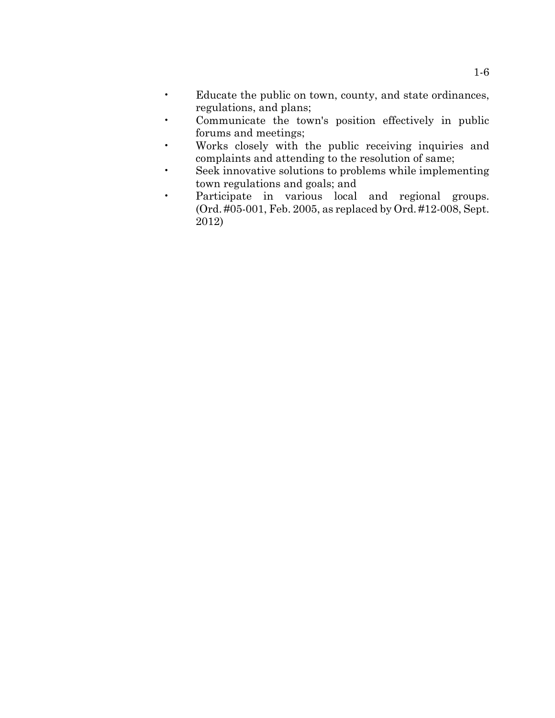- Educate the public on town, county, and state ordinances, regulations, and plans;
- Communicate the town's position effectively in public forums and meetings;
- Works closely with the public receiving inquiries and complaints and attending to the resolution of same;
- Seek innovative solutions to problems while implementing town regulations and goals; and
- Participate in various local and regional groups. (Ord. #05-001, Feb. 2005, as replaced by Ord. #12-008, Sept. 2012)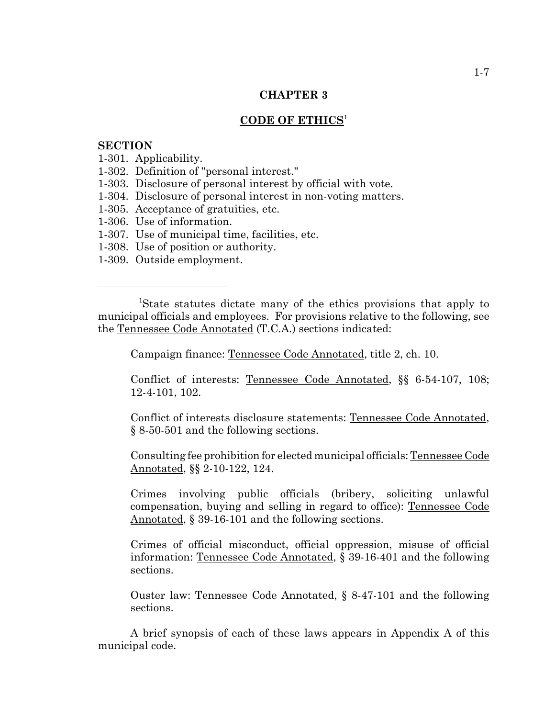### **CODE OF ETHICS**<sup>1</sup>

#### **SECTION**

- 1-301. Applicability.
- 1-302. Definition of "personal interest."
- 1-303. Disclosure of personal interest by official with vote.
- 1-304. Disclosure of personal interest in non-voting matters.
- 1-305. Acceptance of gratuities, etc.
- 1-306. Use of information.
- 1-307. Use of municipal time, facilities, etc.
- 1-308. Use of position or authority.
- 1-309. Outside employment.

 <sup>1</sup> State statutes dictate many of the ethics provisions that apply to municipal officials and employees. For provisions relative to the following, see the Tennessee Code Annotated (T.C.A.) sections indicated:

Campaign finance: Tennessee Code Annotated, title 2, ch. 10.

Conflict of interests: Tennessee Code Annotated, §§ 6-54-107, 108; 12-4-101, 102.

Conflict of interests disclosure statements: Tennessee Code Annotated, § 8-50-501 and the following sections.

Consulting fee prohibition for elected municipal officials: Tennessee Code Annotated, §§ 2-10-122, 124.

Crimes involving public officials (bribery, soliciting unlawful compensation, buying and selling in regard to office): Tennessee Code Annotated, § 39-16-101 and the following sections.

Crimes of official misconduct, official oppression, misuse of official information: Tennessee Code Annotated, § 39-16-401 and the following sections.

Ouster law: Tennessee Code Annotated, § 8-47-101 and the following sections.

A brief synopsis of each of these laws appears in Appendix A of this municipal code.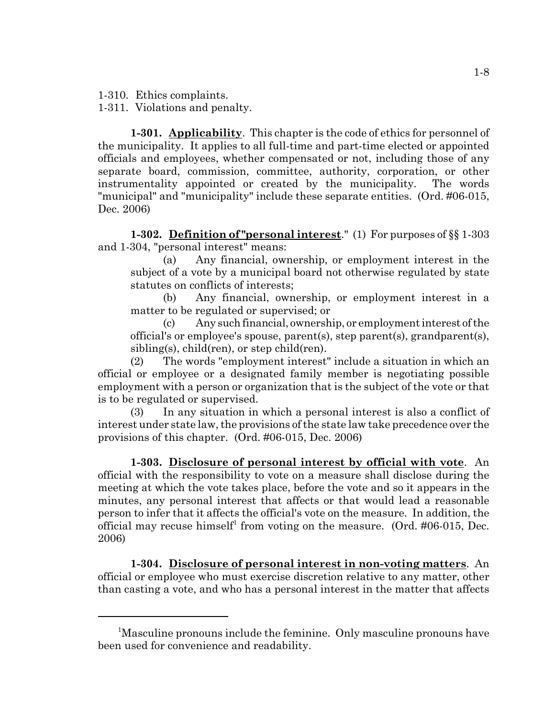1-310. Ethics complaints.

1-311. Violations and penalty.

**1-301. Applicability**. This chapter is the code of ethics for personnel of the municipality. It applies to all full-time and part-time elected or appointed officials and employees, whether compensated or not, including those of any separate board, commission, committee, authority, corporation, or other instrumentality appointed or created by the municipality. The words "municipal" and "municipality" include these separate entities. (Ord. #06-015, Dec. 2006)

**1-302. Definition of "personal interest**." (1) For purposes of §§ 1-303 and 1-304, "personal interest" means:

(a) Any financial, ownership, or employment interest in the subject of a vote by a municipal board not otherwise regulated by state statutes on conflicts of interests;

(b) Any financial, ownership, or employment interest in a matter to be regulated or supervised; or

(c) Any such financial, ownership, or employment interest of the official's or employee's spouse, parent(s), step parent(s), grandparent(s), sibling(s), child(ren), or step child(ren).

(2) The words "employment interest" include a situation in which an official or employee or a designated family member is negotiating possible employment with a person or organization that is the subject of the vote or that is to be regulated or supervised.

(3) In any situation in which a personal interest is also a conflict of interest under state law, the provisions of the state law take precedence over the provisions of this chapter. (Ord. #06-015, Dec. 2006)

**1-303. Disclosure of personal interest by official with vote**. An official with the responsibility to vote on a measure shall disclose during the meeting at which the vote takes place, before the vote and so it appears in the minutes, any personal interest that affects or that would lead a reasonable person to infer that it affects the official's vote on the measure. In addition, the official may recuse himself<sup>1</sup> from voting on the measure. (Ord.  $\#06\t015$ , Dec. 2006)

**1-304. Disclosure of personal interest in non-voting matters**. An official or employee who must exercise discretion relative to any matter, other than casting a vote, and who has a personal interest in the matter that affects

<sup>&</sup>lt;sup>1</sup>Masculine pronouns include the feminine. Only masculine pronouns have been used for convenience and readability.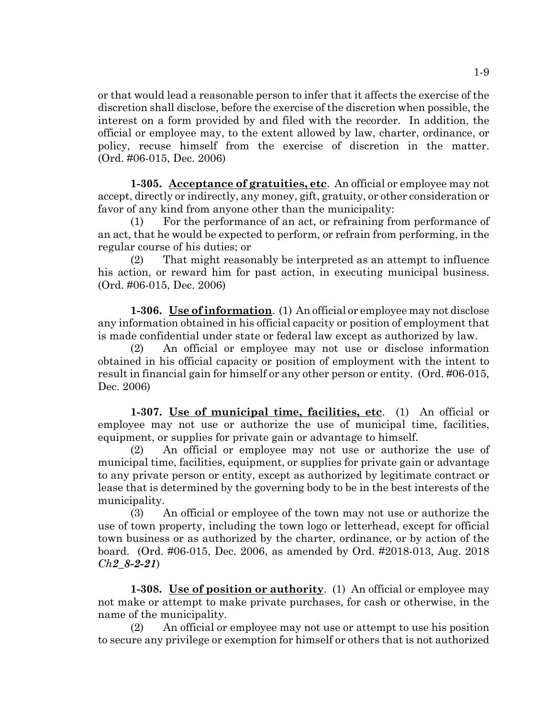or that would lead a reasonable person to infer that it affects the exercise of the discretion shall disclose, before the exercise of the discretion when possible, the interest on a form provided by and filed with the recorder. In addition, the official or employee may, to the extent allowed by law, charter, ordinance, or policy, recuse himself from the exercise of discretion in the matter. (Ord. #06-015, Dec. 2006)

**1-305. Acceptance of gratuities, etc**. An official or employee may not accept, directly or indirectly, any money, gift, gratuity, or other consideration or favor of any kind from anyone other than the municipality:

(1) For the performance of an act, or refraining from performance of an act, that he would be expected to perform, or refrain from performing, in the regular course of his duties; or

(2) That might reasonably be interpreted as an attempt to influence his action, or reward him for past action, in executing municipal business. (Ord. #06-015, Dec. 2006)

**1-306. Use of information**. (1) An official or employee may not disclose any information obtained in his official capacity or position of employment that is made confidential under state or federal law except as authorized by law.

(2) An official or employee may not use or disclose information obtained in his official capacity or position of employment with the intent to result in financial gain for himself or any other person or entity. (Ord. #06-015, Dec. 2006)

**1-307. Use of municipal time, facilities, etc**. (1) An official or employee may not use or authorize the use of municipal time, facilities, equipment, or supplies for private gain or advantage to himself.

(2) An official or employee may not use or authorize the use of municipal time, facilities, equipment, or supplies for private gain or advantage to any private person or entity, except as authorized by legitimate contract or lease that is determined by the governing body to be in the best interests of the municipality.

(3) An official or employee of the town may not use or authorize the use of town property, including the town logo or letterhead, except for official town business or as authorized by the charter, ordinance, or by action of the board. (Ord. #06-015, Dec. 2006, as amended by Ord. #2018-013, Aug. 2018 *Ch2\_8-2-21*)

**1-308. Use of position or authority**. (1) An official or employee may not make or attempt to make private purchases, for cash or otherwise, in the name of the municipality.

(2) An official or employee may not use or attempt to use his position to secure any privilege or exemption for himself or others that is not authorized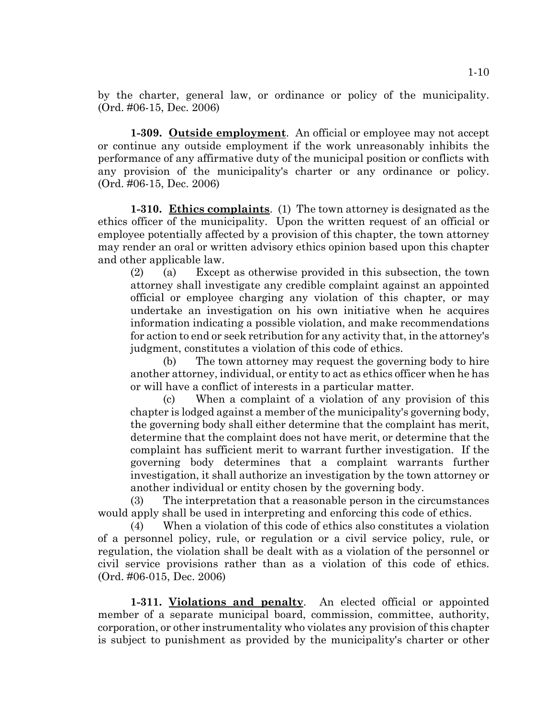by the charter, general law, or ordinance or policy of the municipality. (Ord. #06-15, Dec. 2006)

**1-309. Outside employment**. An official or employee may not accept or continue any outside employment if the work unreasonably inhibits the performance of any affirmative duty of the municipal position or conflicts with any provision of the municipality's charter or any ordinance or policy. (Ord. #06-15, Dec. 2006)

**1-310. Ethics complaints**. (1) The town attorney is designated as the ethics officer of the municipality. Upon the written request of an official or employee potentially affected by a provision of this chapter, the town attorney may render an oral or written advisory ethics opinion based upon this chapter and other applicable law.

(2) (a) Except as otherwise provided in this subsection, the town attorney shall investigate any credible complaint against an appointed official or employee charging any violation of this chapter, or may undertake an investigation on his own initiative when he acquires information indicating a possible violation, and make recommendations for action to end or seek retribution for any activity that, in the attorney's judgment, constitutes a violation of this code of ethics.

(b) The town attorney may request the governing body to hire another attorney, individual, or entity to act as ethics officer when he has or will have a conflict of interests in a particular matter.

(c) When a complaint of a violation of any provision of this chapter is lodged against a member of the municipality's governing body, the governing body shall either determine that the complaint has merit, determine that the complaint does not have merit, or determine that the complaint has sufficient merit to warrant further investigation. If the governing body determines that a complaint warrants further investigation, it shall authorize an investigation by the town attorney or another individual or entity chosen by the governing body.

(3) The interpretation that a reasonable person in the circumstances would apply shall be used in interpreting and enforcing this code of ethics.

(4) When a violation of this code of ethics also constitutes a violation of a personnel policy, rule, or regulation or a civil service policy, rule, or regulation, the violation shall be dealt with as a violation of the personnel or civil service provisions rather than as a violation of this code of ethics. (Ord. #06-015, Dec. 2006)

**1-311. Violations and penalty**. An elected official or appointed member of a separate municipal board, commission, committee, authority, corporation, or other instrumentality who violates any provision of this chapter is subject to punishment as provided by the municipality's charter or other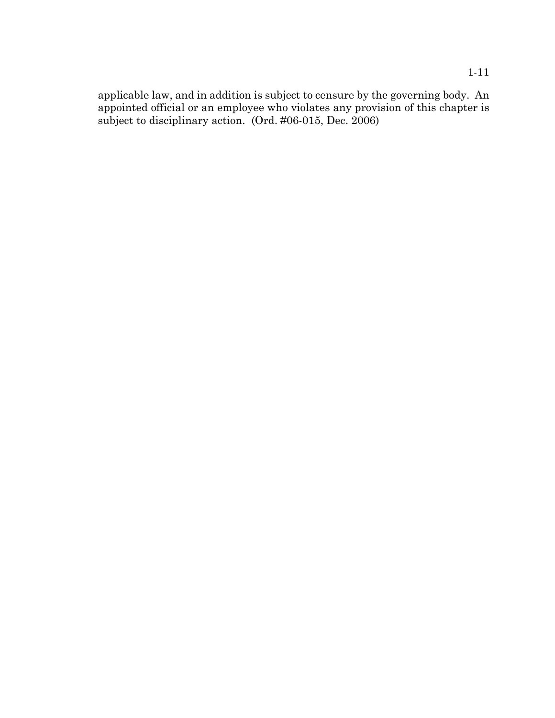applicable law, and in addition is subject to censure by the governing body. An appointed official or an employee who violates any provision of this chapter is subject to disciplinary action. (Ord. #06-015, Dec. 2006)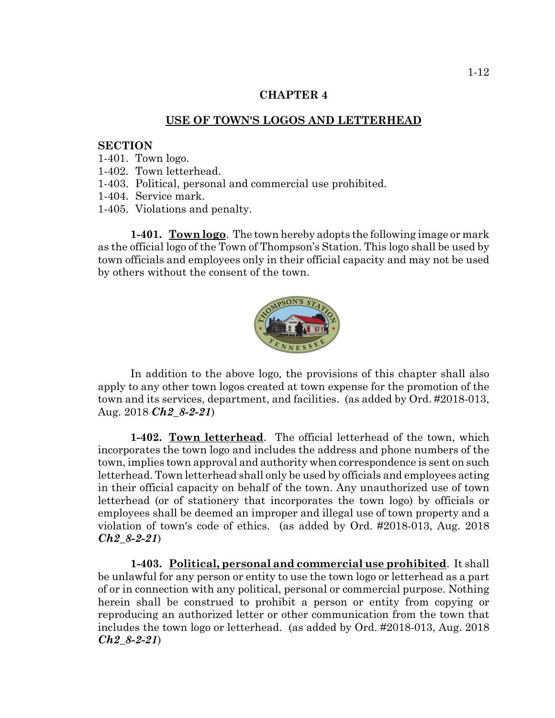#### **USE OF TOWN'S LOGOS AND LETTERHEAD**

#### **SECTION**

- 1-401. Town logo.
- 1-402. Town letterhead.
- 1-403. Political, personal and commercial use prohibited.
- 1-404. Service mark.
- 1-405. Violations and penalty.

**1-401. Town logo**. The town hereby adopts the following image or mark as the official logo of the Town of Thompson's Station. This logo shall be used by town officials and employees only in their official capacity and may not be used by others without the consent of the town.



In addition to the above logo, the provisions of this chapter shall also apply to any other town logos created at town expense for the promotion of the town and its services, department, and facilities. (as added by Ord. #2018-013, Aug. 2018 *Ch2\_8-2-21*)

**1-402. Town letterhead**. The official letterhead of the town, which incorporates the town logo and includes the address and phone numbers of the town, implies town approval and authority when correspondence is sent on such letterhead. Town letterhead shall only be used by officials and employees acting in their official capacity on behalf of the town. Any unauthorized use of town letterhead (or of stationery that incorporates the town logo) by officials or employees shall be deemed an improper and illegal use of town property and a violation of town's code of ethics. (as added by Ord. #2018-013, Aug. 2018 *Ch2\_8-2-21*)

**1-403. Political, personal and commercial use prohibited**. It shall be unlawful for any person or entity to use the town logo or letterhead as a part of or in connection with any political, personal or commercial purpose. Nothing herein shall be construed to prohibit a person or entity from copying or reproducing an authorized letter or other communication from the town that includes the town logo or letterhead. (as added by Ord. #2018-013, Aug. 2018 *Ch2\_8-2-21*)